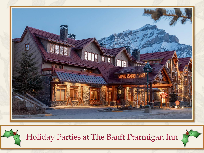

Holiday Parties at The Banff Ptarmigan Inn

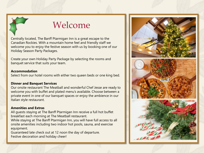

# Welcome

Centrally located, The Banff Ptarmigan Inn is a great escape to the Canadian Rockies. With a mountain home feel and friendly staff we welcome you to enjoy the festive season with us by booking one of our Holiday Season Party Packages.

Create your own Holiday Party Package by selecting the rooms and banquet service that suits your team.

### **Accommodation**

Select from our hotel rooms with either two queen beds or one king bed.

# **Dinner and Banquet Services**

Our onsite restaurant The Meatball and wonderful Chef Jesse are ready to welcome you with buffet and plated menu's available. Choose between a private event in one of our banquet spaces or enjoy the ambience in our Italian style restaurant.

# **Amenities and Extras**

All guests staying at The Banff Ptarmigan Inn receive a full hot buffet breakfast each morning at The Meatball restaurant.

While staying at The Banff Ptarmigan Inn, you will have full access to all onsite amenities including two indoor hot pools, sauna, and exercise equipment.

Guaranteed late check out at 12 noon the day of departure. Festive decoration and holiday cheer!

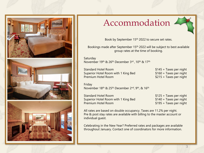

# Accommodation -



Book by September 15<sup>th</sup> 2022 to secure set rates.

Bookings made after September 15<sup>th</sup> 2022 will be subject to best available group rates at the time of booking.

Saturday November 19<sup>th</sup> & 26<sup>th,</sup> December 3<sup>rd</sup>, 10<sup>th</sup> & 17<sup>th</sup>

Standard Hotel Room \$145 + Taxes per night Superior Hotel Room with 1 King Bed \$160 + Taxes per night Premium Hotel Room \$215 + Taxes per night

Friday November 18th & 25th, December 2nd, 9th, & 16th

Standard Hotel Room \$125 + Taxes per night Superior Hotel Room with 1 King Bed \$140 + Taxes per night Premium Hotel Room \$195 + Taxes per night

All rates are based on double occupancy. Taxes are 11.2% per night. Pre & post stay rates are available with billing to the master account or individual guest.

Celebrating in the New Year? Preferred rates and packages are available throughout January. Contact one of coordinators for more information.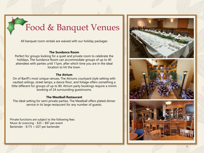Food & Banquet Venues

All banquet room rentals are waived with our holiday packages

#### **The Sundance Room**

Perfect for groups looking for a quiet and private room to celebrate the holidays, The Sundance Room can accommodate groups of up to 40 attendees with parties until 11pm, after which time you are in the ideal location to hit the town.

#### **The Atrium**

On of Banff's most unique venues, The Atriums courtyard style setting with vaulted ceilings, street lamps, a dance floor, and foliage offers something a little different for groups of up to 80. Atrium party bookings require a minim booking of 24 surrounding guestrooms.

#### **The Meatball Restaurant**

The ideal setting for semi private parties, The Meatball offers plated dinner service in its large restaurant for any number of guests.

Private functions are subject to the following fees Music & Licencing - \$35 – \$87 per event Bartender - \$175 + GST per bartender





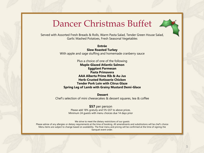# Dancer Christmas Buffet



Served with Assorted Fresh Breads & Rolls, Warm Pasta Salad, Tender Green House Salad, Garlic Mashed Potatoes, Fresh Seasonal Vegetables

> **Entrée Slow Roasted Turkey**  With apple and sage stuffing and homemade cranberry sauce

Plus a choice of one of the following **Maple-Glazed Atlantic Salmon Eggplant Parmesan Pasta Primavera AAA Alberta Prime Rib & Au Jus Herb-Crusted Rotisserie Chicken Tender Pork Loin with Citrus Glaze Spring Leg of Lamb with Grainy Mustard Demi-Glace**

**Dessert**  Chef's selection of mini cheesecakes & dessert squares, tea & coffee

> **\$57** per person Please add 18% gratuity and 5% GST to above prices. Minimum 24 guests with menu choices due 14 days prior

We strive to meet the dietary restrictions of our guests

Please advise of any allergies or dietary requirements at the time of booking. All amendments and substitutions will be chef's choice Menu items are subject to change based on availability. The final menu and pricing will be confirmed at the time of signing the banquet event order.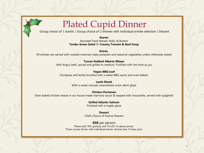

# Plated Cupid Dinner

Group choice of 1 starter / Group choice of 2 entrees with Individual entrée selection / Dessert

**Starter** Assorted Fresh Breads, Rolls, & Butters **Tender Green Salad** Or **Creamy Tomato & Basil Soup**

**Entrée** All entrees are served with roasted rosemary baby potatoes and seasonal vegetables unless otherwise stated

#### **Tuscan Rubbed Alberta Ribeye**

AAA Angus beef, spiced and grilled to medium. Finished with red wine au jus

#### **Vegan BBQ Loaf**

Chickpeas and lentils brushed with a sweet BBQ sauce and oven baked.

#### **Lamb Shank**

With a sweet marsala caramelized onion demi glaze

#### **Chicken Parmesan**

Oven baked chicken breast in our house made marinara sauce & topped with mozzarella, served with spaghetti

#### **Grilled Atlantic Salmon** Finished with a maple glaze

**Dessert** Chefs Choice of Festive Dessert

#### **\$50** per person

Please add 18% gratuity and 5% GST to above prices. Three course dinner with individual entree choices due 14 days prior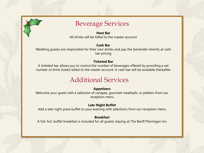

# Beverage Services

**Host Bar** All drinks will be billed to the master account

### **Cash Bar**

Wedding guests are responsible for their own drinks and pay the bartender directly at cash bar pricing

## **Ticketed Bar**

A ticketed bar allows you to control the number of beverages offered by providing a set number of drink tickets billed to the master account. A cash bar will be available thereafter

# Additional Services

### **Appetizers**

Welcome your guest with a selection of canapes, gourmet meatballs, or platters from our reception menu

# **Late Night Buffet**

Add a late night pizza buffet to your evening with selections from our reception menu

## **Breakfast**

A full, hot, buffet breakfast is included for all guests staying at The Banff Ptarmigan Inn